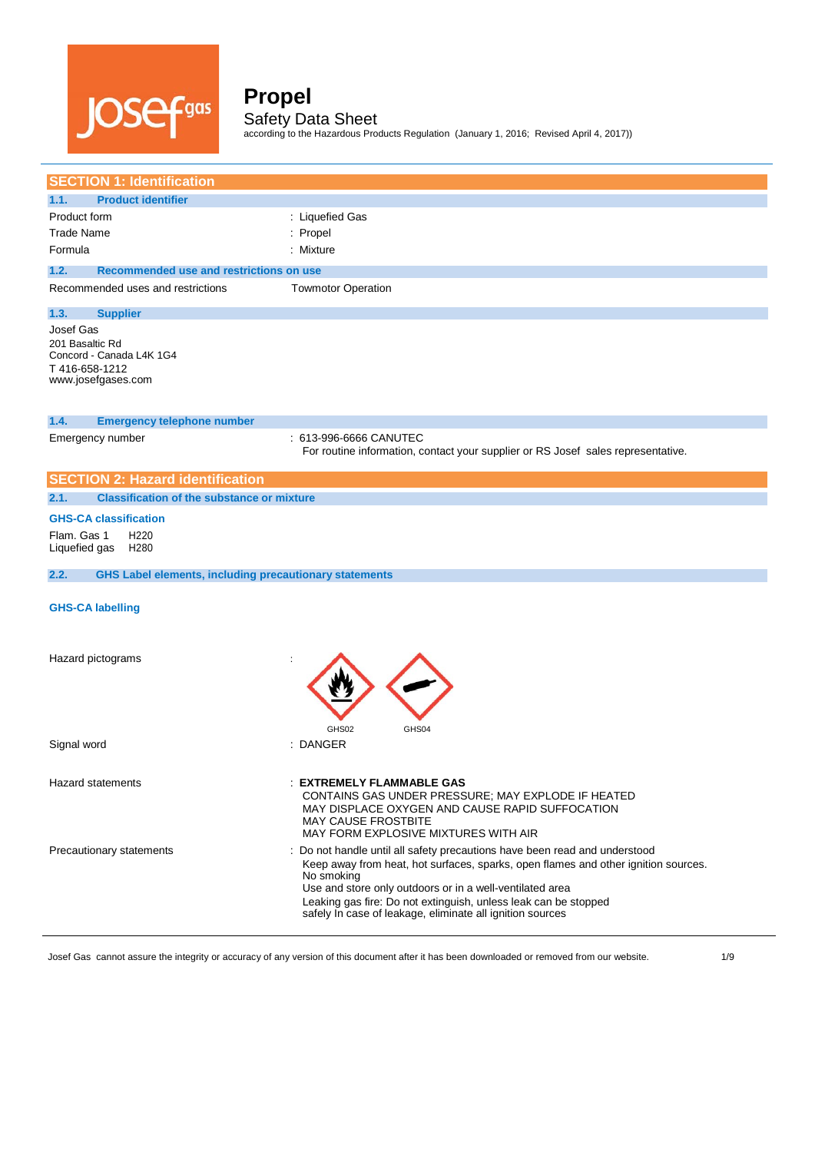

according to the Hazardous Products Regulation (January 1, 2016; Revised April 4, 2017))

| <b>SECTION 1: Identification</b>                                                                |                                                                                                                                                                                                                                                                                                                                                                            |
|-------------------------------------------------------------------------------------------------|----------------------------------------------------------------------------------------------------------------------------------------------------------------------------------------------------------------------------------------------------------------------------------------------------------------------------------------------------------------------------|
| 1.1.<br><b>Product identifier</b>                                                               |                                                                                                                                                                                                                                                                                                                                                                            |
| Product form                                                                                    | : Liquefied Gas                                                                                                                                                                                                                                                                                                                                                            |
| <b>Trade Name</b>                                                                               | : Propel                                                                                                                                                                                                                                                                                                                                                                   |
| Formula                                                                                         | : Mixture                                                                                                                                                                                                                                                                                                                                                                  |
| 1.2.<br>Recommended use and restrictions on use                                                 |                                                                                                                                                                                                                                                                                                                                                                            |
| Recommended uses and restrictions                                                               | <b>Towmotor Operation</b>                                                                                                                                                                                                                                                                                                                                                  |
| 1.3.<br><b>Supplier</b>                                                                         |                                                                                                                                                                                                                                                                                                                                                                            |
| Josef Gas<br>201 Basaltic Rd<br>Concord - Canada L4K 1G4<br>T416-658-1212<br>www.josefgases.com |                                                                                                                                                                                                                                                                                                                                                                            |
| 1.4.<br><b>Emergency telephone number</b>                                                       |                                                                                                                                                                                                                                                                                                                                                                            |
| Emergency number                                                                                | 613-996-6666 CANUTEC<br>For routine information, contact your supplier or RS Josef sales representative.                                                                                                                                                                                                                                                                   |
| <b>SECTION 2: Hazard identification</b>                                                         |                                                                                                                                                                                                                                                                                                                                                                            |
| <b>Classification of the substance or mixture</b><br>2.1.                                       |                                                                                                                                                                                                                                                                                                                                                                            |
| <b>GHS-CA classification</b>                                                                    |                                                                                                                                                                                                                                                                                                                                                                            |
| Flam. Gas 1<br>H <sub>220</sub><br>Liquefied gas<br>H280                                        |                                                                                                                                                                                                                                                                                                                                                                            |
| 2.2.<br><b>GHS Label elements, including precautionary statements</b>                           |                                                                                                                                                                                                                                                                                                                                                                            |
| <b>GHS-CA labelling</b>                                                                         |                                                                                                                                                                                                                                                                                                                                                                            |
| Hazard pictograms                                                                               | GHS02<br>GHS04                                                                                                                                                                                                                                                                                                                                                             |
| Signal word                                                                                     | : DANGER                                                                                                                                                                                                                                                                                                                                                                   |
| <b>Hazard statements</b>                                                                        | <b>EXTREMELY FLAMMABLE GAS</b><br>CONTAINS GAS UNDER PRESSURE; MAY EXPLODE IF HEATED<br>MAY DISPLACE OXYGEN AND CAUSE RAPID SUFFOCATION<br><b>MAY CAUSE FROSTBITE</b><br>MAY FORM EXPLOSIVE MIXTURES WITH AIR                                                                                                                                                              |
| Precautionary statements                                                                        | : Do not handle until all safety precautions have been read and understood<br>Keep away from heat, hot surfaces, sparks, open flames and other ignition sources.<br>No smoking<br>Use and store only outdoors or in a well-ventilated area<br>Leaking gas fire: Do not extinguish, unless leak can be stopped<br>safely In case of leakage, eliminate all ignition sources |

Josef Gas cannot assure the integrity or accuracy of any version of this document after it has been downloaded or removed from our website. 4/9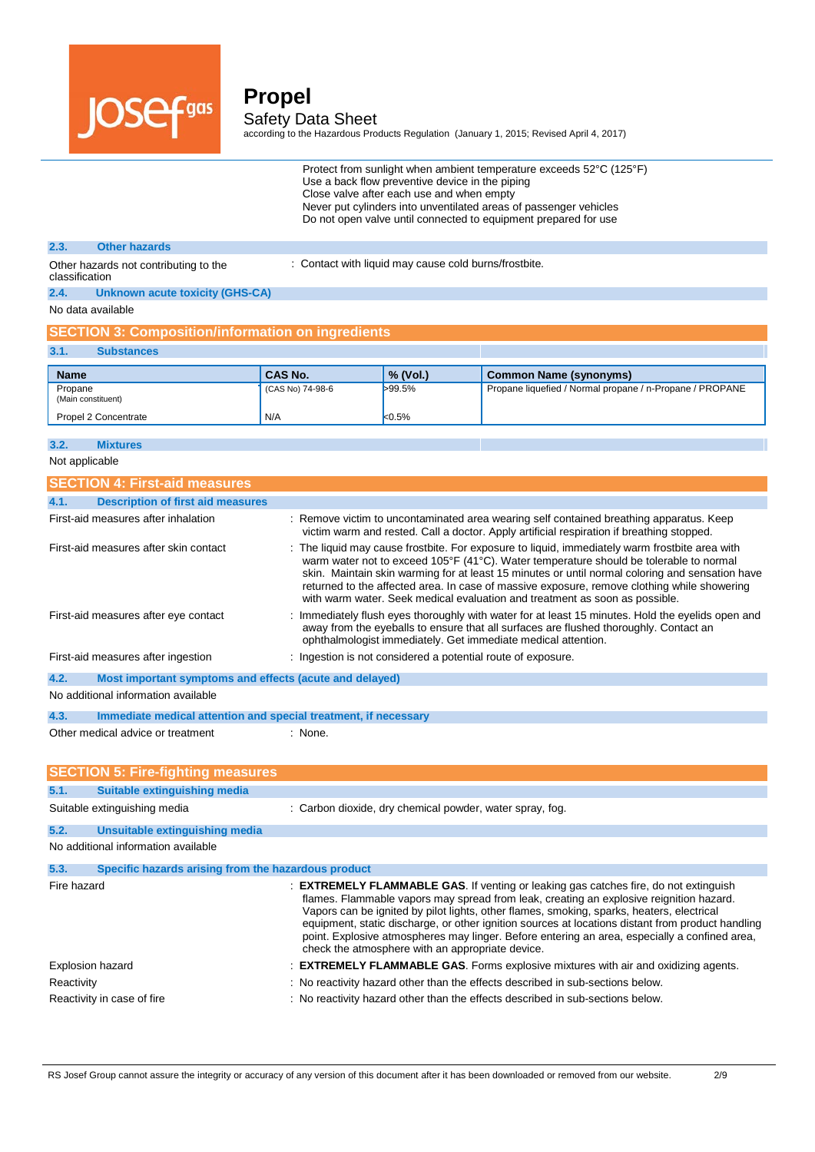

according to the Hazardous Products Regulation (January 1, 2015; Revised April 4, 2017)

Protect from sunlight when ambient temperature exceeds 52°C (125°F) Use a back flow preventive device in the piping Close valve after each use and when empty Never put cylinders into unventilated areas of passenger vehicles Do not open valve until connected to equipment prepared for use

### **2.3. Other hazards**

: Contact with liquid may cause cold burns/frostbite.

Other hazards not contributing to the classification **2.4. Unknown acute toxicity (GHS-CA)**

No data available

### **SECTION 3: Composition/information on ingredients**

| 3.1. | <b>Substances</b> |
|------|-------------------|
|      |                   |

| <b>Name</b>                   | <b>CAS No.</b>   | $\%$ (Vol.) | Common Name (synonyms)                                   |
|-------------------------------|------------------|-------------|----------------------------------------------------------|
| Propane<br>(Main constituent) | (CAS No) 74-98-6 | >99.5%      | Propane liquefied / Normal propane / n-Propane / PROPANE |
| Propel 2 Concentrate          | N/A              | k0.5%       |                                                          |

#### **3.2. Mixtures**

Not applicable

| <b>SECTION 4: First-aid measures</b>                                    |                                                                                                                                                                                                                                                                                                                                                                                                                                                                           |
|-------------------------------------------------------------------------|---------------------------------------------------------------------------------------------------------------------------------------------------------------------------------------------------------------------------------------------------------------------------------------------------------------------------------------------------------------------------------------------------------------------------------------------------------------------------|
| <b>Description of first aid measures</b><br>4.1.                        |                                                                                                                                                                                                                                                                                                                                                                                                                                                                           |
| First-aid measures after inhalation                                     | : Remove victim to uncontaminated area wearing self contained breathing apparatus. Keep<br>victim warm and rested. Call a doctor. Apply artificial respiration if breathing stopped.                                                                                                                                                                                                                                                                                      |
| First-aid measures after skin contact                                   | : The liquid may cause frostbite. For exposure to liquid, immediately warm frostbite area with<br>warm water not to exceed 105°F (41°C). Water temperature should be tolerable to normal<br>skin. Maintain skin warming for at least 15 minutes or until normal coloring and sensation have<br>returned to the affected area. In case of massive exposure, remove clothing while showering<br>with warm water. Seek medical evaluation and treatment as soon as possible. |
| First-aid measures after eye contact                                    | : Immediately flush eyes thoroughly with water for at least 15 minutes. Hold the eyelids open and<br>away from the eyeballs to ensure that all surfaces are flushed thoroughly. Contact an<br>ophthalmologist immediately. Get immediate medical attention.                                                                                                                                                                                                               |
| First-aid measures after ingestion                                      | : Ingestion is not considered a potential route of exposure.                                                                                                                                                                                                                                                                                                                                                                                                              |
| 4.2.<br>Most important symptoms and effects (acute and delayed)         |                                                                                                                                                                                                                                                                                                                                                                                                                                                                           |
| No additional information available                                     |                                                                                                                                                                                                                                                                                                                                                                                                                                                                           |
| 4.3.<br>Immediate medical attention and special treatment, if necessary |                                                                                                                                                                                                                                                                                                                                                                                                                                                                           |
| Other medical advice or treatment                                       | $:$ None.                                                                                                                                                                                                                                                                                                                                                                                                                                                                 |
|                                                                         |                                                                                                                                                                                                                                                                                                                                                                                                                                                                           |

|                  | <b>SECTION 5: Fire-fighting measures</b>            |                                                                                                                                                                                                                                                                                                                                                                                                                                                                                                                                               |
|------------------|-----------------------------------------------------|-----------------------------------------------------------------------------------------------------------------------------------------------------------------------------------------------------------------------------------------------------------------------------------------------------------------------------------------------------------------------------------------------------------------------------------------------------------------------------------------------------------------------------------------------|
| 5.1.             | Suitable extinguishing media                        |                                                                                                                                                                                                                                                                                                                                                                                                                                                                                                                                               |
|                  | Suitable extinguishing media                        | : Carbon dioxide, dry chemical powder, water spray, fog.                                                                                                                                                                                                                                                                                                                                                                                                                                                                                      |
| 5.2.             | Unsuitable extinguishing media                      |                                                                                                                                                                                                                                                                                                                                                                                                                                                                                                                                               |
|                  | No additional information available                 |                                                                                                                                                                                                                                                                                                                                                                                                                                                                                                                                               |
| 5.3.             | Specific hazards arising from the hazardous product |                                                                                                                                                                                                                                                                                                                                                                                                                                                                                                                                               |
| Fire hazard      |                                                     | : <b>EXTREMELY FLAMMABLE GAS.</b> If venting or leaking gas catches fire, do not extinguish<br>flames. Flammable vapors may spread from leak, creating an explosive reignition hazard.<br>Vapors can be ignited by pilot lights, other flames, smoking, sparks, heaters, electrical<br>equipment, static discharge, or other ignition sources at locations distant from product handling<br>point. Explosive atmospheres may linger. Before entering an area, especially a confined area,<br>check the atmosphere with an appropriate device. |
| Explosion hazard |                                                     | : <b>EXTREMELY FLAMMABLE GAS.</b> Forms explosive mixtures with air and oxidizing agents.                                                                                                                                                                                                                                                                                                                                                                                                                                                     |
| Reactivity       |                                                     | : No reactivity hazard other than the effects described in sub-sections below.                                                                                                                                                                                                                                                                                                                                                                                                                                                                |
|                  | Reactivity in case of fire                          | : No reactivity hazard other than the effects described in sub-sections below.                                                                                                                                                                                                                                                                                                                                                                                                                                                                |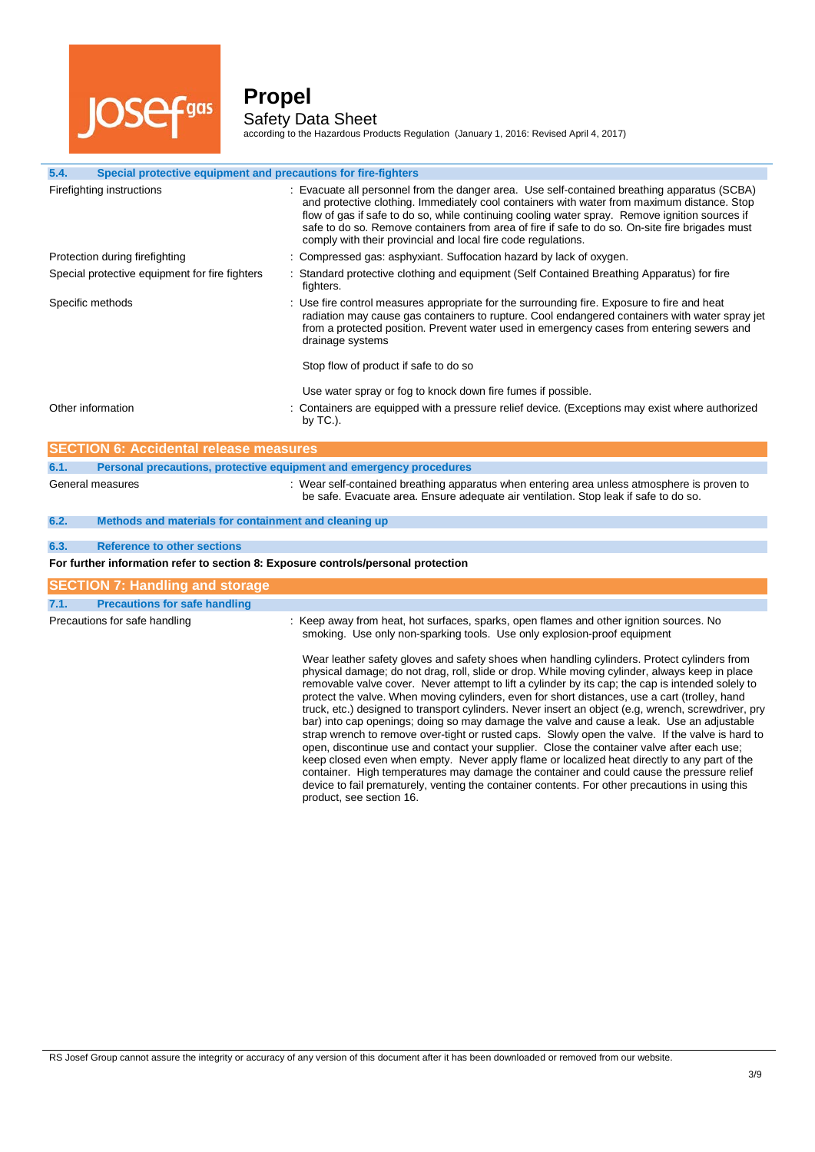

l.

### **Propel** Safety Data Sheet

according to the Hazardous Products Regulation (January 1, 2016: Revised April 4, 2017)

| 5.4.<br>Special protective equipment and precautions for fire-fighters            |                                                                                                                                                                                                                                                                                                                                                                                                                                                                                                                                                                                                                                                                                                                                                                                                                                                                                                                                                                                                                                                                                                                                       |
|-----------------------------------------------------------------------------------|---------------------------------------------------------------------------------------------------------------------------------------------------------------------------------------------------------------------------------------------------------------------------------------------------------------------------------------------------------------------------------------------------------------------------------------------------------------------------------------------------------------------------------------------------------------------------------------------------------------------------------------------------------------------------------------------------------------------------------------------------------------------------------------------------------------------------------------------------------------------------------------------------------------------------------------------------------------------------------------------------------------------------------------------------------------------------------------------------------------------------------------|
| Firefighting instructions                                                         | : Evacuate all personnel from the danger area. Use self-contained breathing apparatus (SCBA)<br>and protective clothing. Immediately cool containers with water from maximum distance. Stop<br>flow of gas if safe to do so, while continuing cooling water spray. Remove ignition sources if<br>safe to do so. Remove containers from area of fire if safe to do so. On-site fire brigades must<br>comply with their provincial and local fire code regulations.                                                                                                                                                                                                                                                                                                                                                                                                                                                                                                                                                                                                                                                                     |
| Protection during firefighting                                                    | : Compressed gas: asphyxiant. Suffocation hazard by lack of oxygen.                                                                                                                                                                                                                                                                                                                                                                                                                                                                                                                                                                                                                                                                                                                                                                                                                                                                                                                                                                                                                                                                   |
| Special protective equipment for fire fighters                                    | : Standard protective clothing and equipment (Self Contained Breathing Apparatus) for fire<br>fighters.                                                                                                                                                                                                                                                                                                                                                                                                                                                                                                                                                                                                                                                                                                                                                                                                                                                                                                                                                                                                                               |
| Specific methods                                                                  | : Use fire control measures appropriate for the surrounding fire. Exposure to fire and heat<br>radiation may cause gas containers to rupture. Cool endangered containers with water spray jet<br>from a protected position. Prevent water used in emergency cases from entering sewers and<br>drainage systems                                                                                                                                                                                                                                                                                                                                                                                                                                                                                                                                                                                                                                                                                                                                                                                                                        |
|                                                                                   | Stop flow of product if safe to do so                                                                                                                                                                                                                                                                                                                                                                                                                                                                                                                                                                                                                                                                                                                                                                                                                                                                                                                                                                                                                                                                                                 |
|                                                                                   | Use water spray or fog to knock down fire fumes if possible.                                                                                                                                                                                                                                                                                                                                                                                                                                                                                                                                                                                                                                                                                                                                                                                                                                                                                                                                                                                                                                                                          |
| Other information                                                                 | Containers are equipped with a pressure relief device. (Exceptions may exist where authorized<br>by $TC.$ ).                                                                                                                                                                                                                                                                                                                                                                                                                                                                                                                                                                                                                                                                                                                                                                                                                                                                                                                                                                                                                          |
| <b>SECTION 6: Accidental release measures</b>                                     |                                                                                                                                                                                                                                                                                                                                                                                                                                                                                                                                                                                                                                                                                                                                                                                                                                                                                                                                                                                                                                                                                                                                       |
| 6.1.<br>Personal precautions, protective equipment and emergency procedures       |                                                                                                                                                                                                                                                                                                                                                                                                                                                                                                                                                                                                                                                                                                                                                                                                                                                                                                                                                                                                                                                                                                                                       |
| General measures                                                                  | : Wear self-contained breathing apparatus when entering area unless atmosphere is proven to<br>be safe. Evacuate area. Ensure adequate air ventilation. Stop leak if safe to do so.                                                                                                                                                                                                                                                                                                                                                                                                                                                                                                                                                                                                                                                                                                                                                                                                                                                                                                                                                   |
| 6.2.<br>Methods and materials for containment and cleaning up                     |                                                                                                                                                                                                                                                                                                                                                                                                                                                                                                                                                                                                                                                                                                                                                                                                                                                                                                                                                                                                                                                                                                                                       |
| <b>Reference to other sections</b><br>6.3.                                        |                                                                                                                                                                                                                                                                                                                                                                                                                                                                                                                                                                                                                                                                                                                                                                                                                                                                                                                                                                                                                                                                                                                                       |
| For further information refer to section 8: Exposure controls/personal protection |                                                                                                                                                                                                                                                                                                                                                                                                                                                                                                                                                                                                                                                                                                                                                                                                                                                                                                                                                                                                                                                                                                                                       |
|                                                                                   |                                                                                                                                                                                                                                                                                                                                                                                                                                                                                                                                                                                                                                                                                                                                                                                                                                                                                                                                                                                                                                                                                                                                       |
| <b>SECTION 7: Handling and storage</b>                                            |                                                                                                                                                                                                                                                                                                                                                                                                                                                                                                                                                                                                                                                                                                                                                                                                                                                                                                                                                                                                                                                                                                                                       |
| 7.1.<br><b>Precautions for safe handling</b>                                      |                                                                                                                                                                                                                                                                                                                                                                                                                                                                                                                                                                                                                                                                                                                                                                                                                                                                                                                                                                                                                                                                                                                                       |
| Precautions for safe handling                                                     | : Keep away from heat, hot surfaces, sparks, open flames and other ignition sources. No<br>smoking. Use only non-sparking tools. Use only explosion-proof equipment                                                                                                                                                                                                                                                                                                                                                                                                                                                                                                                                                                                                                                                                                                                                                                                                                                                                                                                                                                   |
|                                                                                   | Wear leather safety gloves and safety shoes when handling cylinders. Protect cylinders from<br>physical damage; do not drag, roll, slide or drop. While moving cylinder, always keep in place<br>removable valve cover. Never attempt to lift a cylinder by its cap; the cap is intended solely to<br>protect the valve. When moving cylinders, even for short distances, use a cart (trolley, hand<br>truck, etc.) designed to transport cylinders. Never insert an object (e.g, wrench, screwdriver, pry<br>bar) into cap openings; doing so may damage the valve and cause a leak. Use an adjustable<br>strap wrench to remove over-tight or rusted caps. Slowly open the valve. If the valve is hard to<br>open, discontinue use and contact your supplier. Close the container valve after each use;<br>keep closed even when empty. Never apply flame or localized heat directly to any part of the<br>container. High temperatures may damage the container and could cause the pressure relief<br>device to fail prematurely, venting the container contents. For other precautions in using this<br>product, see section 16. |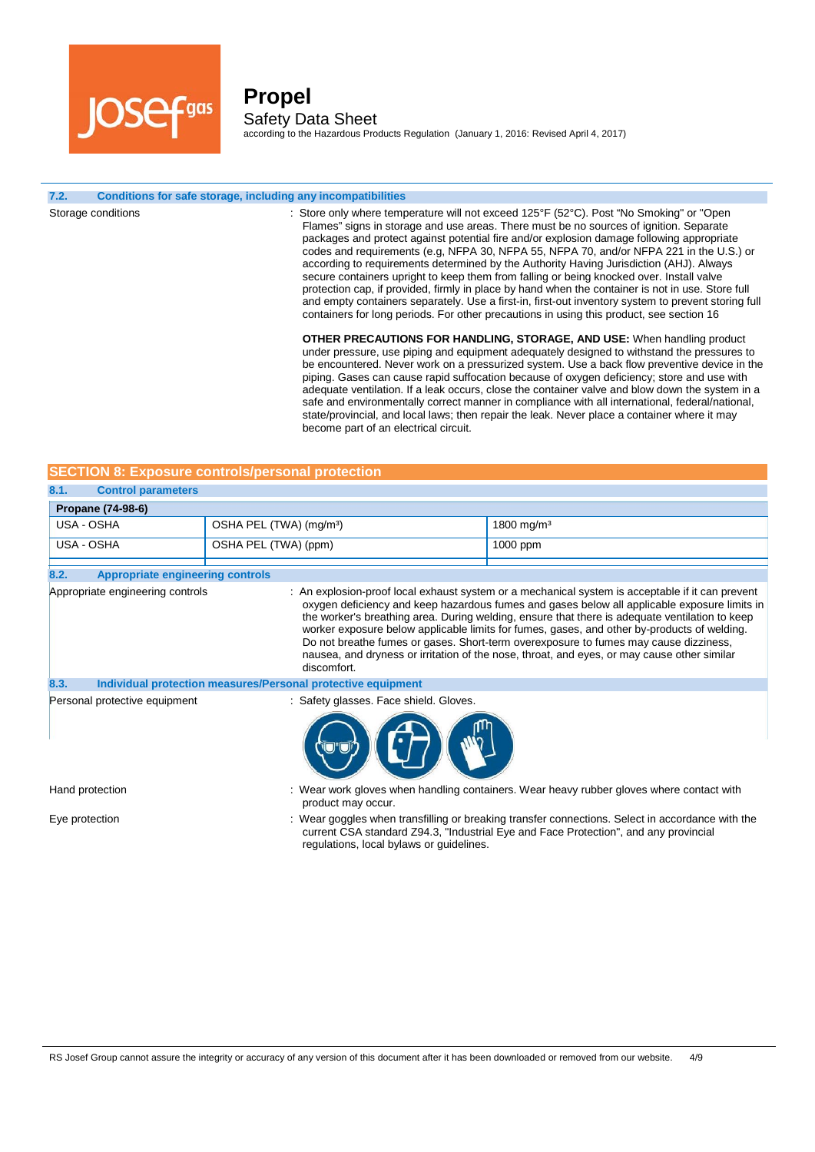

**Propel** Safety Data Sheet according to the Hazardous Products Regulation (January 1, 2016: Revised April 4, 2017)

#### **7.2. Conditions for safe storage, including any incompatibilities**

Storage conditions **included in the Conduct only state only where temperature will not exceed 125°F (52°C). Post "No Smoking" or "Open** Flames" signs in storage and use areas. There must be no sources of ignition. Separate packages and protect against potential fire and/or explosion damage following appropriate codes and requirements (e.g, NFPA 30, NFPA 55, NFPA 70, and/or NFPA 221 in the U.S.) or according to requirements determined by the Authority Having Jurisdiction (AHJ). Always secure containers upright to keep them from falling or being knocked over. Install valve protection cap, if provided, firmly in place by hand when the container is not in use. Store full and empty containers separately. Use a first-in, first-out inventory system to prevent storing full containers for long periods. For other precautions in using this product, see section 16 **OTHER PRECAUTIONS FOR HANDLING, STORAGE, AND USE:** When handling product under pressure, use piping and equipment adequately designed to withstand the pressures to be encountered. Never work on a pressurized system. Use a back flow preventive device in the piping. Gases can cause rapid suffocation because of oxygen deficiency; store and use with adequate ventilation. If a leak occurs, close the container valve and blow down the system in a safe and environmentally correct manner in compliance with all international, federal/national,

become part of an electrical circuit.

|            |                           | <b>SECTION 8: Exposure controls/personal protection</b> |                        |
|------------|---------------------------|---------------------------------------------------------|------------------------|
| 8.1.       | <b>Control parameters</b> |                                                         |                        |
|            | <b>Propane (74-98-6)</b>  |                                                         |                        |
| USA - OSHA |                           | $\mid$ OSHA PEL (TWA) (mg/m <sup>3</sup> )              | 1800 mg/m <sup>3</sup> |

| USA - OSHA                                      | OSHA PEL (TWA) (ppm)                                         | 1000 ppm                                                                                                                                                                                                                                                                                                                                                                                                                                                                                                                                                                                 |
|-------------------------------------------------|--------------------------------------------------------------|------------------------------------------------------------------------------------------------------------------------------------------------------------------------------------------------------------------------------------------------------------------------------------------------------------------------------------------------------------------------------------------------------------------------------------------------------------------------------------------------------------------------------------------------------------------------------------------|
| 8.2.<br><b>Appropriate engineering controls</b> |                                                              |                                                                                                                                                                                                                                                                                                                                                                                                                                                                                                                                                                                          |
| Appropriate engineering controls                | discomfort.                                                  | : An explosion-proof local exhaust system or a mechanical system is acceptable if it can prevent<br>oxygen deficiency and keep hazardous fumes and gases below all applicable exposure limits in<br>the worker's breathing area. During welding, ensure that there is adequate ventilation to keep<br>worker exposure below applicable limits for fumes, gases, and other by-products of welding.<br>Do not breathe fumes or gases. Short-term overexposure to fumes may cause dizziness,<br>nausea, and dryness or irritation of the nose, throat, and eyes, or may cause other similar |
| 8.3.                                            | Individual protection measures/Personal protective equipment |                                                                                                                                                                                                                                                                                                                                                                                                                                                                                                                                                                                          |
| Personal protective equipment                   | : Safety glasses. Face shield. Gloves.                       |                                                                                                                                                                                                                                                                                                                                                                                                                                                                                                                                                                                          |
| Hand protection                                 |                                                              | : Wear work gloves when handling containers. Wear heavy rubber gloves where contact with                                                                                                                                                                                                                                                                                                                                                                                                                                                                                                 |

product may occur.

state/provincial, and local laws; then repair the leak. Never place a container where it may

Eye protection state of the state of the state of the state of the state of the state with the state of the state with the state of the state with the state with the state of the state with the state with the state of the current CSA standard Z94.3, "Industrial Eye and Face Protection", and any provincial regulations, local bylaws or guidelines.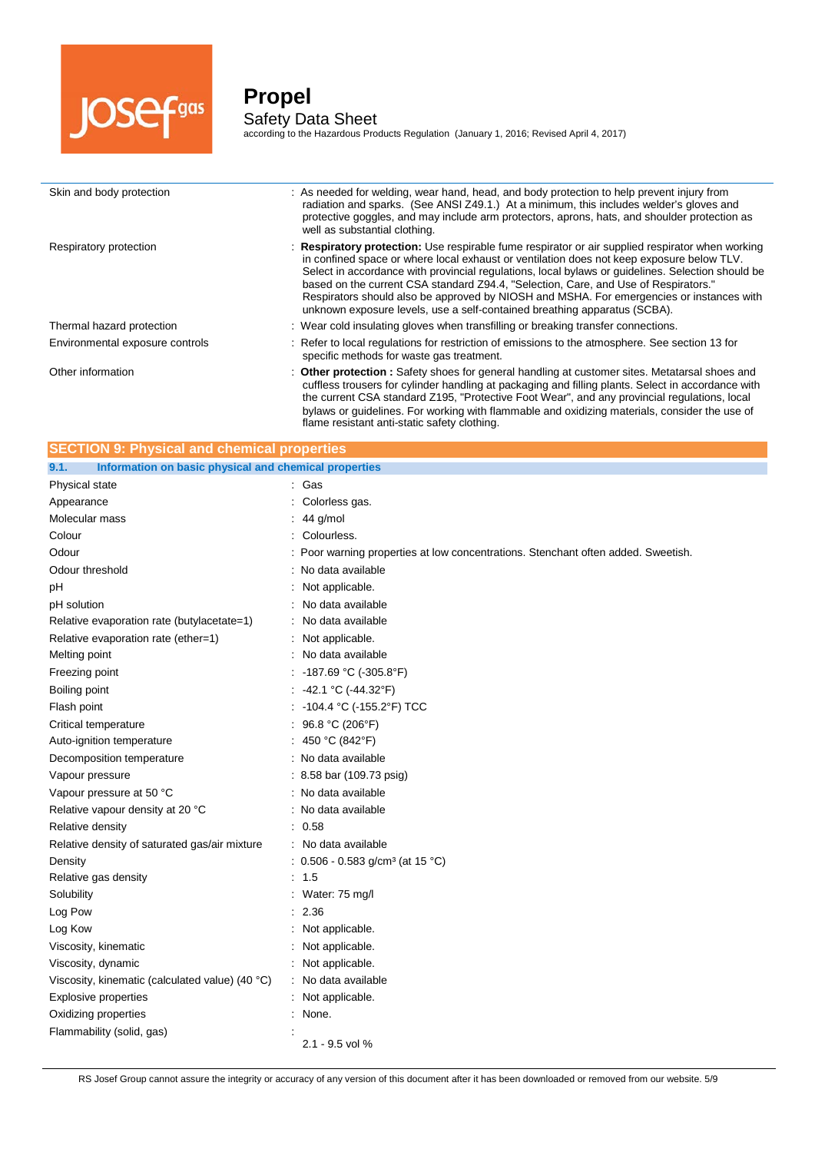

j.

# **Propel** Safety Data Sheet

according to the Hazardous Products Regulation (January 1, 2016; Revised April 4, 2017)

| Skin and body protection        | : As needed for welding, wear hand, head, and body protection to help prevent injury from<br>radiation and sparks. (See ANSI Z49.1.) At a minimum, this includes welder's gloves and<br>protective goggles, and may include arm protectors, aprons, hats, and shoulder protection as<br>well as substantial clothing.                                                                                                                                                                                                                                              |
|---------------------------------|--------------------------------------------------------------------------------------------------------------------------------------------------------------------------------------------------------------------------------------------------------------------------------------------------------------------------------------------------------------------------------------------------------------------------------------------------------------------------------------------------------------------------------------------------------------------|
| Respiratory protection          | : Respiratory protection: Use respirable fume respirator or air supplied respirator when working<br>in confined space or where local exhaust or ventilation does not keep exposure below TLV.<br>Select in accordance with provincial regulations, local bylaws or guidelines. Selection should be<br>based on the current CSA standard Z94.4, "Selection, Care, and Use of Respirators."<br>Respirators should also be approved by NIOSH and MSHA. For emergencies or instances with<br>unknown exposure levels, use a self-contained breathing apparatus (SCBA). |
| Thermal hazard protection       | : Wear cold insulating gloves when transfilling or breaking transfer connections.                                                                                                                                                                                                                                                                                                                                                                                                                                                                                  |
| Environmental exposure controls | : Refer to local regulations for restriction of emissions to the atmosphere. See section 13 for<br>specific methods for waste gas treatment.                                                                                                                                                                                                                                                                                                                                                                                                                       |
| Other information               | : Other protection : Safety shoes for general handling at customer sites. Metatarsal shoes and<br>cuffless trousers for cylinder handling at packaging and filling plants. Select in accordance with<br>the current CSA standard Z195, "Protective Foot Wear", and any provincial regulations, local<br>bylaws or quidelines. For working with flammable and oxidizing materials, consider the use of                                                                                                                                                              |

flame resistant anti-static safety clothing.

| <b>SECTION 9: Physical and chemical properties</b>            |                                                                                   |  |
|---------------------------------------------------------------|-----------------------------------------------------------------------------------|--|
| Information on basic physical and chemical properties<br>9.1. |                                                                                   |  |
| Physical state                                                | : Gas                                                                             |  |
| Appearance                                                    | Colorless gas.                                                                    |  |
| Molecular mass                                                | 44 g/mol                                                                          |  |
| Colour                                                        | Colourless.                                                                       |  |
| Odour                                                         | : Poor warning properties at low concentrations. Stenchant often added. Sweetish. |  |
| Odour threshold                                               | : No data available                                                               |  |
| рH                                                            | Not applicable.                                                                   |  |
| pH solution                                                   | No data available                                                                 |  |
| Relative evaporation rate (butylacetate=1)                    | No data available                                                                 |  |
| Relative evaporation rate (ether=1)                           | Not applicable.                                                                   |  |
| Melting point                                                 | No data available                                                                 |  |
| Freezing point                                                | -187.69 °C (-305.8°F)                                                             |  |
| Boiling point                                                 | -42.1 °C (-44.32°F)                                                               |  |
| Flash point                                                   | -104.4 °C (-155.2°F) TCC                                                          |  |
| Critical temperature                                          | 96.8 °C (206°F)                                                                   |  |
| Auto-ignition temperature                                     | 450 °C (842°F)                                                                    |  |
| Decomposition temperature                                     | : No data available                                                               |  |
| Vapour pressure                                               | $: 8.58$ bar (109.73 psig)                                                        |  |
| Vapour pressure at 50 °C                                      | : No data available                                                               |  |
| Relative vapour density at 20 °C                              | No data available                                                                 |  |
| Relative density                                              | 0.58                                                                              |  |
| Relative density of saturated gas/air mixture                 | No data available                                                                 |  |
| Density                                                       | : $0.506 - 0.583$ g/cm <sup>3</sup> (at 15 °C)                                    |  |
| Relative gas density                                          | 1.5                                                                               |  |
| Solubility                                                    | Water: 75 mg/l                                                                    |  |
| Log Pow                                                       | 2.36                                                                              |  |
| Log Kow                                                       | Not applicable.                                                                   |  |
| Viscosity, kinematic                                          | Not applicable.                                                                   |  |
| Viscosity, dynamic                                            | : Not applicable.                                                                 |  |
| Viscosity, kinematic (calculated value) (40 °C)               | : No data available                                                               |  |
| <b>Explosive properties</b>                                   | Not applicable.                                                                   |  |
| Oxidizing properties                                          | None.                                                                             |  |
| Flammability (solid, gas)                                     | 2.1 - 9.5 vol %                                                                   |  |

RS Josef Group cannot assure the integrity or accuracy of any version of this document after it has been downloaded or removed from our website. 5/9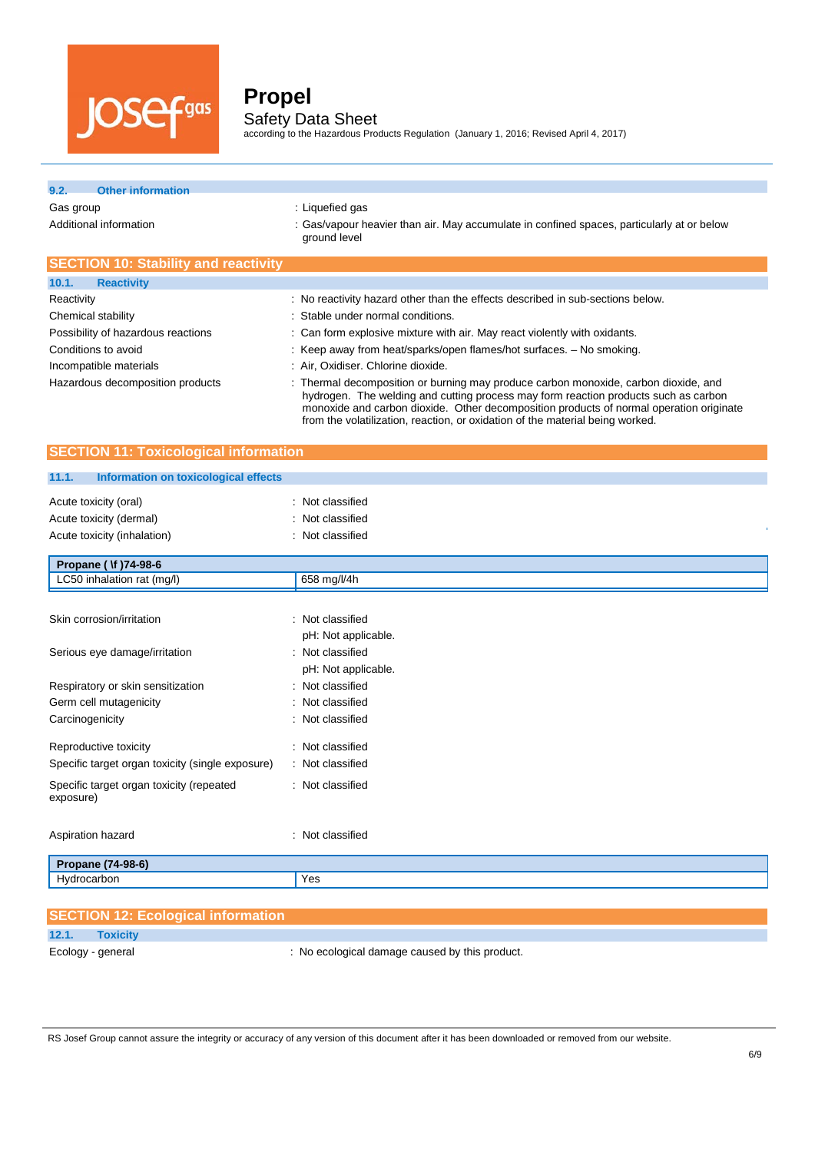

according to the Hazardous Products Regulation (January 1, 2016; Revised April 4, 2017)

### **9.2. Other information**

Gas group **EXECUTE:** Liquefied gas

Additional information : Gas/vapour heavier than air. May accumulate in confined spaces, particularly at or below ground level

| <b>SECTION 10: Stability and reactivity</b> |                                                                                                                                                                                                                                                                                                                                                        |
|---------------------------------------------|--------------------------------------------------------------------------------------------------------------------------------------------------------------------------------------------------------------------------------------------------------------------------------------------------------------------------------------------------------|
| 10.1.<br><b>Reactivity</b>                  |                                                                                                                                                                                                                                                                                                                                                        |
| Reactivity                                  | : No reactivity hazard other than the effects described in sub-sections below.                                                                                                                                                                                                                                                                         |
| Chemical stability                          | : Stable under normal conditions.                                                                                                                                                                                                                                                                                                                      |
| Possibility of hazardous reactions          | : Can form explosive mixture with air. May react violently with oxidants.                                                                                                                                                                                                                                                                              |
| Conditions to avoid                         | : Keep away from heat/sparks/open flames/hot surfaces. - No smoking.                                                                                                                                                                                                                                                                                   |
| Incompatible materials                      | : Air, Oxidiser. Chlorine dioxide.                                                                                                                                                                                                                                                                                                                     |
| Hazardous decomposition products            | : Thermal decomposition or burning may produce carbon monoxide, carbon dioxide, and<br>hydrogen. The welding and cutting process may form reaction products such as carbon<br>monoxide and carbon dioxide. Other decomposition products of normal operation originate<br>from the volatilization, reaction, or oxidation of the material being worked. |

### **SECTION 11: Toxicological information**

#### **11.1. Information on toxicological effects**

| : Not classified    |
|---------------------|
| : Not classified    |
| : Not classified    |
|                     |
|                     |
| 658 mg/l/4h         |
|                     |
| : Not classified    |
| pH: Not applicable. |
| : Not classified    |
| pH: Not applicable. |
| : Not classified    |
| : Not classified    |
| : Not classified    |
| : Not classified    |
| : Not classified    |
| : Not classified    |
| : Not classified    |
|                     |
| Yes                 |
|                     |

|                   | <b>SECTION 12: Ecological information</b> |                                              |
|-------------------|-------------------------------------------|----------------------------------------------|
| 12.1.             | <b>Toxicity</b>                           |                                              |
| Ecology - general |                                           | No ecological damage caused by this product. |

RS Josef Group cannot assure the integrity or accuracy of any version of this document after it has been downloaded or removed from our website.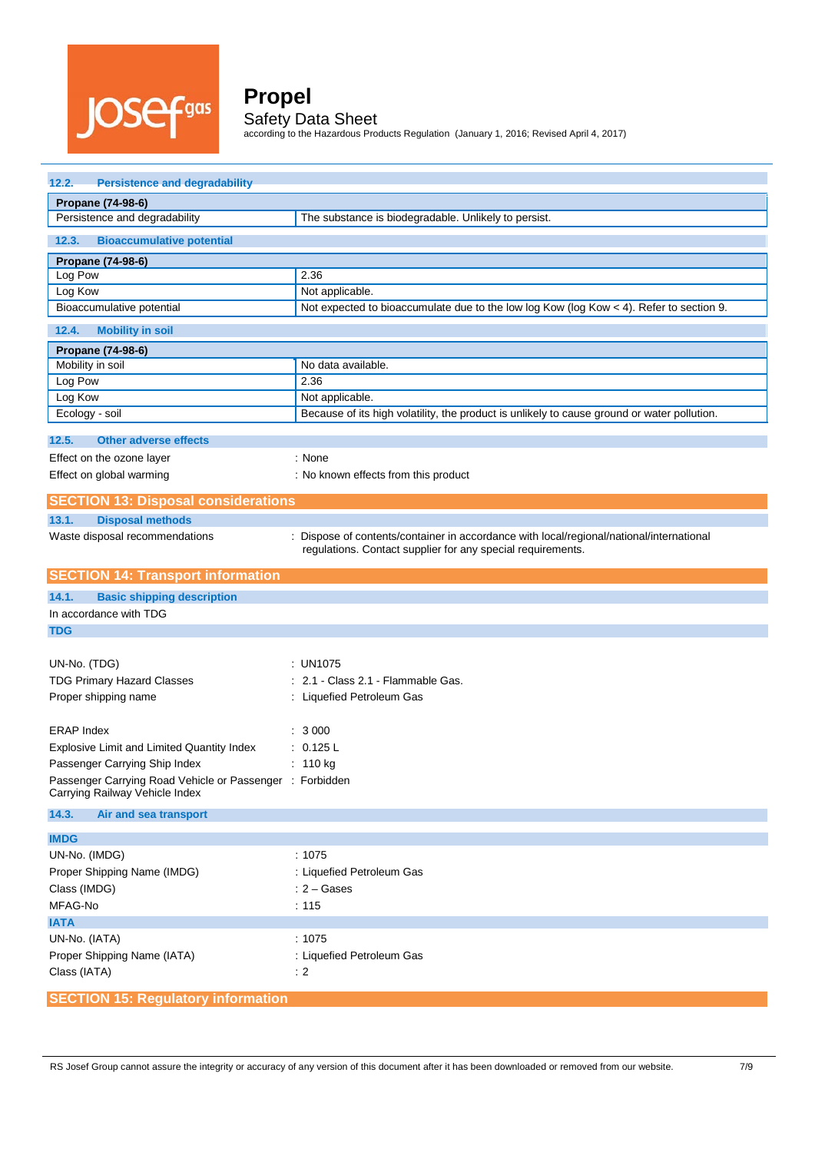

according to the Hazardous Products Regulation (January 1, 2016; Revised April 4, 2017)

| <b>Persistence and degradability</b><br>12.2.                    |                                                                                             |  |  |  |  |
|------------------------------------------------------------------|---------------------------------------------------------------------------------------------|--|--|--|--|
| Propane (74-98-6)                                                |                                                                                             |  |  |  |  |
| Persistence and degradability                                    | The substance is biodegradable. Unlikely to persist.                                        |  |  |  |  |
| 12.3.<br><b>Bioaccumulative potential</b>                        |                                                                                             |  |  |  |  |
| Propane (74-98-6)                                                |                                                                                             |  |  |  |  |
| Log Pow                                                          | 2.36                                                                                        |  |  |  |  |
| Log Kow                                                          | Not applicable.                                                                             |  |  |  |  |
| Bioaccumulative potential                                        | Not expected to bioaccumulate due to the low log Kow (log Kow < 4). Refer to section 9.     |  |  |  |  |
| 12.4.<br><b>Mobility in soil</b>                                 |                                                                                             |  |  |  |  |
| Propane (74-98-6)                                                |                                                                                             |  |  |  |  |
| Mobility in soil                                                 | No data available.                                                                          |  |  |  |  |
| Log Pow                                                          | 2.36                                                                                        |  |  |  |  |
| Log Kow                                                          | Not applicable.                                                                             |  |  |  |  |
| Ecology - soil                                                   | Because of its high volatility, the product is unlikely to cause ground or water pollution. |  |  |  |  |
| 12.5.<br><b>Other adverse effects</b>                            |                                                                                             |  |  |  |  |
| Effect on the ozone layer                                        | : None                                                                                      |  |  |  |  |
| Effect on global warming                                         | : No known effects from this product                                                        |  |  |  |  |
|                                                                  |                                                                                             |  |  |  |  |
| <b>SECTION 13: Disposal considerations</b>                       |                                                                                             |  |  |  |  |
| 13.1.<br><b>Disposal methods</b><br>÷                            | Dispose of contents/container in accordance with local/regional/national/international      |  |  |  |  |
| Waste disposal recommendations                                   | regulations. Contact supplier for any special requirements.                                 |  |  |  |  |
| <b>SECTION 14: Transport information</b>                         |                                                                                             |  |  |  |  |
|                                                                  |                                                                                             |  |  |  |  |
|                                                                  |                                                                                             |  |  |  |  |
| 14.1.<br><b>Basic shipping description</b>                       |                                                                                             |  |  |  |  |
| In accordance with TDG                                           |                                                                                             |  |  |  |  |
| <b>TDG</b>                                                       |                                                                                             |  |  |  |  |
|                                                                  |                                                                                             |  |  |  |  |
| UN-No. (TDG)                                                     | : UN1075<br>2.1 - Class 2.1 - Flammable Gas.                                                |  |  |  |  |
| <b>TDG Primary Hazard Classes</b><br>Proper shipping name        | : Liquefied Petroleum Gas                                                                   |  |  |  |  |
|                                                                  |                                                                                             |  |  |  |  |
| <b>ERAP Index</b>                                                | : 3000                                                                                      |  |  |  |  |
| Explosive Limit and Limited Quantity Index                       | : 0.125 L                                                                                   |  |  |  |  |
| Passenger Carrying Ship Index                                    | : $110 kg$                                                                                  |  |  |  |  |
| Passenger Carrying Road Vehicle or Passenger : Forbidden         |                                                                                             |  |  |  |  |
| Carrying Railway Vehicle Index<br>14.3.<br>Air and sea transport |                                                                                             |  |  |  |  |
|                                                                  |                                                                                             |  |  |  |  |
| <b>IMDG</b>                                                      |                                                                                             |  |  |  |  |
| UN-No. (IMDG)                                                    | :1075                                                                                       |  |  |  |  |
| Proper Shipping Name (IMDG)                                      | : Liquefied Petroleum Gas                                                                   |  |  |  |  |
| Class (IMDG)                                                     | $: 2 - \text{Gases}$                                                                        |  |  |  |  |
| MFAG-No                                                          | : 115                                                                                       |  |  |  |  |
| <b>IATA</b>                                                      |                                                                                             |  |  |  |  |
| UN-No. (IATA)                                                    | :1075                                                                                       |  |  |  |  |
| Proper Shipping Name (IATA)                                      | : Liquefied Petroleum Gas                                                                   |  |  |  |  |
| Class (IATA)                                                     | $\div$ 2                                                                                    |  |  |  |  |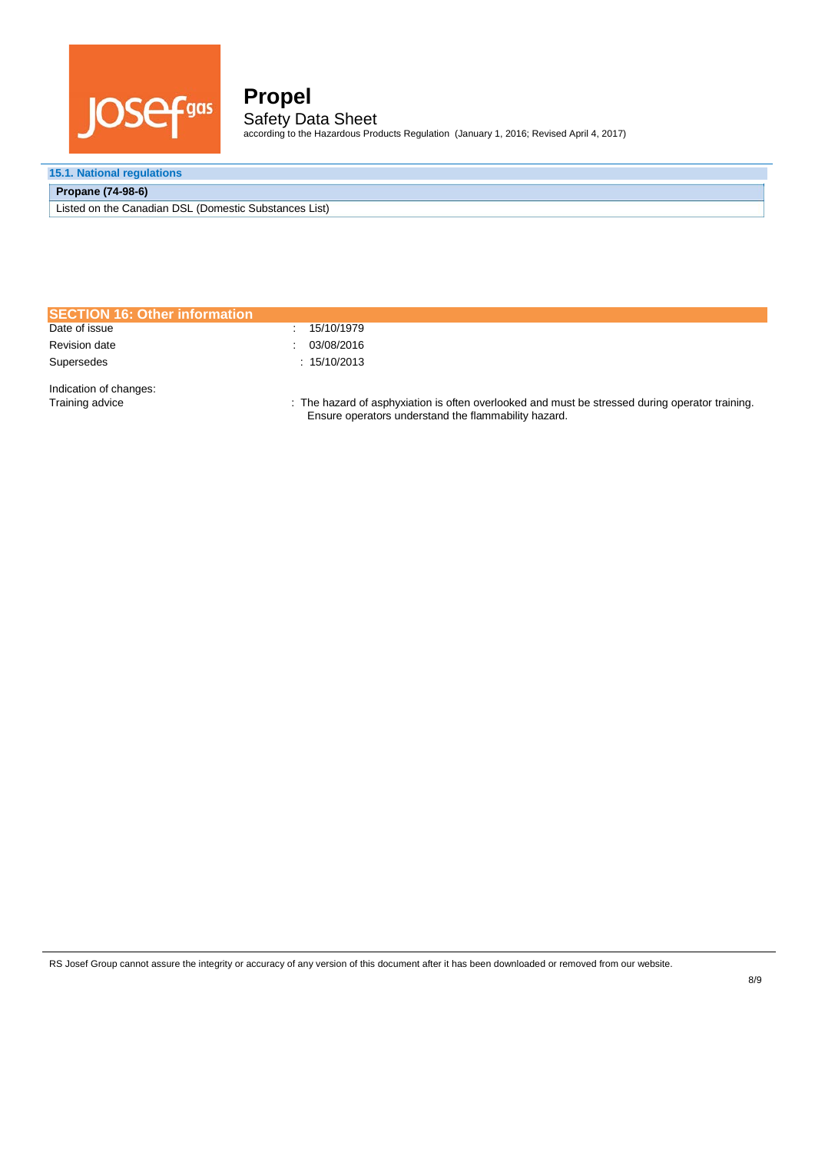

according to the Hazardous Products Regulation (January 1, 2016; Revised April 4, 2017)

### **15.1. National regulations**

### **Propane (74-98-6)**

Listed on the Canadian DSL (Domestic Substances List)

| <b>SECTION 16: Other information</b>      |                                                                                                                                                         |
|-------------------------------------------|---------------------------------------------------------------------------------------------------------------------------------------------------------|
| Date of issue                             | : 15/10/1979                                                                                                                                            |
| <b>Revision date</b>                      | 03/08/2016                                                                                                                                              |
| Supersedes                                | : 15/10/2013                                                                                                                                            |
| Indication of changes:<br>Training advice | : The hazard of asphyxiation is often overlooked and must be stressed during operator training.<br>Ensure operators understand the flammability hazard. |

RS Josef Group cannot assure the integrity or accuracy of any version of this document after it has been downloaded or removed from our website.